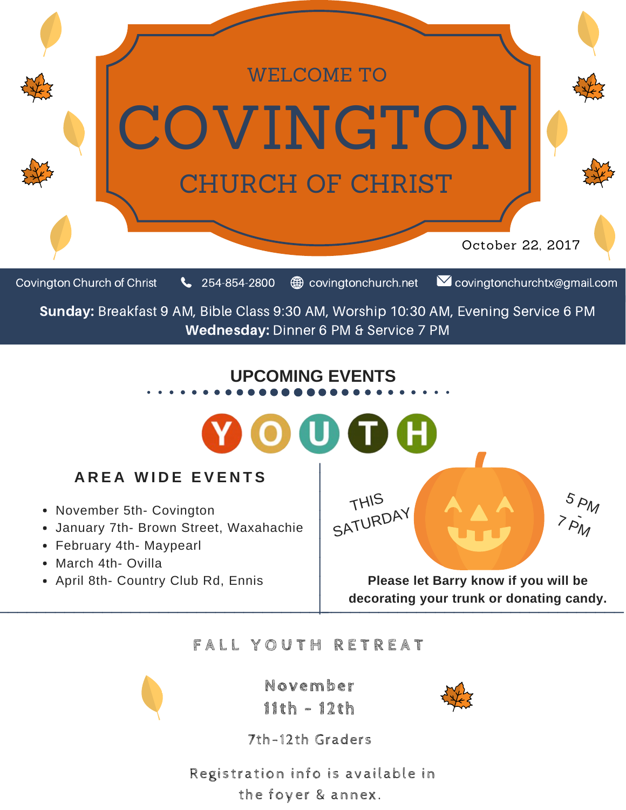

#### **F A L L Y O U T H R E T R E A T**



**November 11th - 12th**



7th-12th Graders

Registration info is available in the foyer & annex.